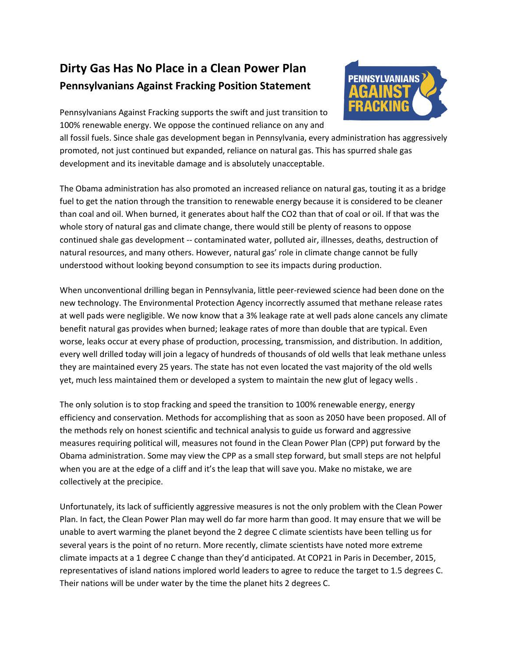# **Dirty Gas Has No Place in a Clean Power Plan Pennsylvanians Against Fracking Position Statement**



Pennsylvanians Against Fracking supports the swift and just transition to 100% renewable energy. We oppose the continued reliance on any and

all fossil fuels. Since shale gas development began in Pennsylvania, every administration has aggressively promoted, not just continued but expanded, reliance on natural gas. This has spurred shale gas development and its inevitable damage and is absolutely unacceptable.

The Obama administration has also promoted an increased reliance on natural gas, touting it as a bridge fuel to get the nation through the transition to renewable energy because it is considered to be cleaner than coal and oil. When burned, it generates about half the CO2 than that of coal or oil. If that was the whole story of natural gas and climate change, there would still be plenty of reasons to oppose continued shale gas development -- contaminated water, polluted air, illnesses, deaths, destruction of natural resources, and many others. However, natural gas' role in climate change cannot be fully understood without looking beyond consumption to see its impacts during production.

When unconventional drilling began in Pennsylvania, little peer-reviewed science had been done on the new technology. The Environmental Protection Agency incorrectly assumed that methane release rates at well pads were negligible. We now know that a 3% leakage rate at well pads alone cancels any climate benefit natural gas provides when burned; leakage rates of more than double that are typical. Even worse, leaks occur at every phase of production, processing, transmission, and distribution. In addition, every well drilled today will join a legacy of hundreds of thousands of old wells that leak methane unless they are maintained every 25 years. The state has not even located the vast majority of the old wells yet, much less maintained them or developed a system to maintain the new glut of legacy wells .

The only solution is to stop fracking and speed the transition to 100% renewable energy, energy efficiency and conservation. Methods for accomplishing that as soon as 2050 have been proposed. All of the methods rely on honest scientific and technical analysis to guide us forward and aggressive measures requiring political will, measures not found in the Clean Power Plan (CPP) put forward by the Obama administration. Some may view the CPP as a small step forward, but small steps are not helpful when you are at the edge of a cliff and it's the leap that will save you. Make no mistake, we are collectively at the precipice.

Unfortunately, its lack of sufficiently aggressive measures is not the only problem with the Clean Power Plan. In fact, the Clean Power Plan may well do far more harm than good. It may ensure that we will be unable to avert warming the planet beyond the 2 degree C climate scientists have been telling us for several years is the point of no return. More recently, climate scientists have noted more extreme climate impacts at a 1 degree C change than they'd anticipated. At COP21 in Paris in December, 2015, representatives of island nations implored world leaders to agree to reduce the target to 1.5 degrees C. Their nations will be under water by the time the planet hits 2 degrees C.